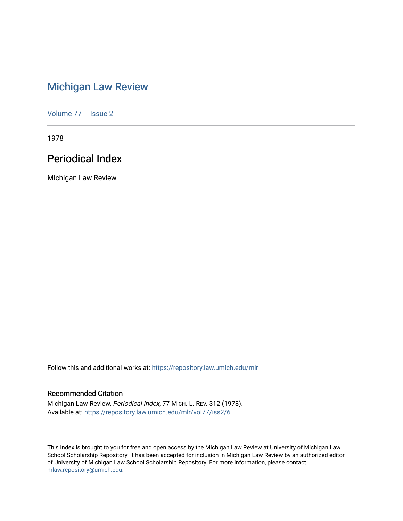# [Michigan Law Review](https://repository.law.umich.edu/mlr)

[Volume 77](https://repository.law.umich.edu/mlr/vol77) | [Issue 2](https://repository.law.umich.edu/mlr/vol77/iss2)

1978

## Periodical Index

Michigan Law Review

Follow this and additional works at: [https://repository.law.umich.edu/mlr](https://repository.law.umich.edu/mlr?utm_source=repository.law.umich.edu%2Fmlr%2Fvol77%2Fiss2%2F6&utm_medium=PDF&utm_campaign=PDFCoverPages) 

## Recommended Citation

Michigan Law Review, Periodical Index, 77 MICH. L. REV. 312 (1978). Available at: [https://repository.law.umich.edu/mlr/vol77/iss2/6](https://repository.law.umich.edu/mlr/vol77/iss2/6?utm_source=repository.law.umich.edu%2Fmlr%2Fvol77%2Fiss2%2F6&utm_medium=PDF&utm_campaign=PDFCoverPages)

This Index is brought to you for free and open access by the Michigan Law Review at University of Michigan Law School Scholarship Repository. It has been accepted for inclusion in Michigan Law Review by an authorized editor of University of Michigan Law School Scholarship Repository. For more information, please contact [mlaw.repository@umich.edu.](mailto:mlaw.repository@umich.edu)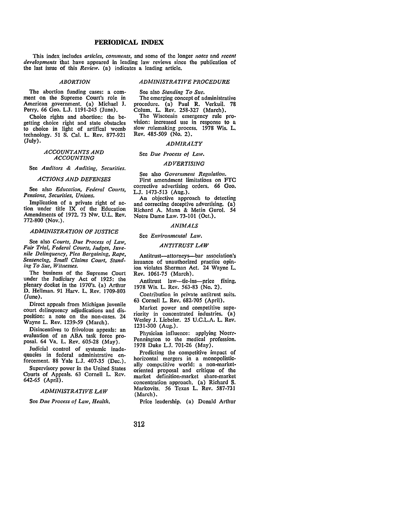### **PERIODICAL INDEX**

This index includes *articles, comments*, and some of the longer *notes* and *recent developments* that have appeared in leading law reviews since the publication of the last issue of this *Review.* (a) indicates a leading article.

### *ABORTION*

### *ADMINISTRATIVE PROCEDURE*

The abortion funding cases: a comment on the Supreme Court's role in American government. (a) Michael J. Perry. 66 Geo. L.J. 1191-245 (June).

Choice rights and abortion: the begetting choice right and state obstacles to choice in light of artifical womb technology. 51 S. Cal. L. Rev. 877-921 (July).

### *ACCOUNTANTS AND ACCOUNTING*

See *Auditors & Auditing, Securities.* 

### *ACTIONS AND DEFENSES*

See also *Education, Federal Courts, Pensions, Securities, Unions.* 

Implication of a private right of action under title IX of the Education Amendments of 1972. 73 Nw. U.L. Rev. 772-800 (Nov.).

### *ADMINISTRATION OF JUSTICE*

See also *Courts, Due Process of Law, Fair Trial, Federal Courts, Judges, Juvenile Delinquency, Plea Bargaining, Rape, Sentencing, Small Claims Court, Standing To Sue, Witnesses.* 

The business of the Supreme Court under the Judiciary Act of 1925: the plenary docket in the 1970's. (a) Arthur D. Hellman. 91 Harv. L. Rev. 1709-803 (June).

Direct appeals from Michigan juvenile court delinquency adjudications and disposition: a note on the non-cases. 24 Wayne L. Rev. 1239-59 (March).

Disincentives to frivolous appeals: an evaluation of an ABA task force proposal. 64 Va. L. Rev. 605-28 (May).

Judicial control of systemic inadequacies in federal administrative enforcement. 88 Yale L.J. 407-35 (Dec.).

Supervisory power in the United States Courts of Appeals. 63 Cornell L. Rev. 642-65 (April).

### *ADMINISTRATIVE LAW*

See *Due Process of Law, Health.* 

See also *Standing To Sue.*  The emerging concept of administrative procedure. (a) Paul R. Verkuil. 78 Colum. L. Rev. 258-327 (March).

The Wisconsin emergency rule provision: increased use in response to a slow rulemaking process. 1978 Wis. L. Rev. 485-509 (No. 2).

### *ADMIRALTY*

#### See *Due Process of Law.*

### *ADVERTISING*

See also *Government Regulation.*  First amendment limitations on FTC corrective advertising orders. 66 Geo. L.J. 1473-513 (Aug.).

An objective approach to detecting and correcting deceptive advertising. (a) Richard A. Mann & Melin Gurol. 54 Notre Dame Law. 73-101 (Oct.).

### *ANIMALS*

See *Environmental Law.* 

### *ANTITRUST LAW*

Antitrust-attorneys-bar association's issuance of unauthorized practice opinion violates Sherman Act. 24 Wayne L. Rev. 1061-75 (March).

Antitrust law---tie-ins---price fixing. 1978 Wis. L. Rev. 563-83 (No. 2).

Contribution in private antitrust suits. 63 Cornell L. Rev. 682-705 (April).

Market power and competitive superiority in concentrated industries. (a) Wesley J. Liebeler. 25 U.C.L.A. L. Rev. 1231-300 (Aug.).

Physician influence: applying Noerr-Pennington to the medical profession. 1978 Duke L.J. 701-26 (May).

Predicting the competitive impact of horizontal mergers in a monopolistically competitive world: a non-marketoriented proposal and critique of the market definition-market share-market concentration approach. (a) Richard S. Markovits. 56 Texas L. Rev. 587-731 (March).

Price leadership. (a) Donald Arthur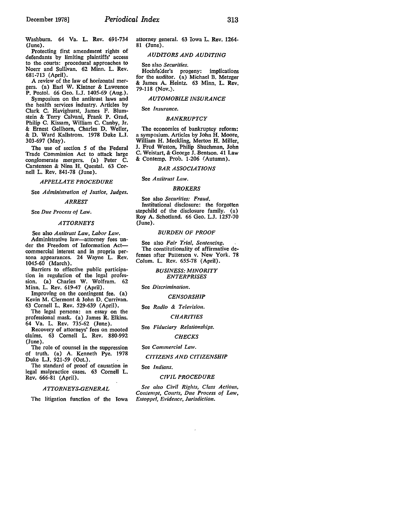Protecting first amendment rights of defendants by limiting plaintiffs' access to the courts: procedural approaches to Noerr and Sullivan. 62 Minn. L. Rev. 681-713 (April).

A review of the law of horizontal mergers. (a) Earl W. Kintner & Lawrence **P.** Postol. 66 Geo. L.J. 1405-69 (Aug.).

Symposium on the antitrust laws and the health services industry. Articles by Clark C. Havighurst, James F. Blumstein & Terry Calvani, Frank P. Grad, Philip C. Kissam, William C. Canby, Jr. & Ernest Gellhorn, Charles D. Weller, & D. Ward Kallstrom. 1978 Duke L.J. 303-697 (May).

The use of section 5 of the Federal Trade Commission Act to attack large conglomerate mergers. (a) Peter C. Carstensen & Nina H. Questal. 63 Cornell L. Rev. 841-78 (June).

### *APPELLATE PROCEDURE*

See *Administration of Justice, Judges.* 

#### *ARREST*

See *Due Process of Law*.

### *ATTORNEYS*

See also *Antitrust Law, Labor Law*. Administrative law-attorney fees un-

der the Freedom of Information Actcommercial interest and in propria persona appearances. 24 Wayne L. Rev. 1045-60 (March).

Barriers to effective public participation in regulation of the legal profession. (a) Charles W. Wolfram. 62 Minn. L. Rev. 619-47 (April).

Improving on the contingent fee. (a) Kevin M. Clermont & John D. Currivan. 63 Cornell L. Rev. 529-639 (April).

The legal persona: an essay on the professional mask. {a) James R. Elkins. 64 Va. L. Rev. 735-62 (June).

Recovery of attorneys' fees on mooted claims. 63 Cornell L. Rev. 880-992 (June).

The role of counsel in the suppression of truth. (a) A. Kenneth Pye. 1978 Duke L.J. 921-59 (Oct.).

The standard of proof of causation in legal malpractice cases. 63 Cornell L. Rev. 666-81 (April).

### *ATTORNEYS-GENERAL*

The litigation function of the Iowa

attorney general. 63 Iowa L. Rev. 1264- 81 (June).

### *AUDITORS AND AUDITING*

See also *Securities.* 

Hochfe:der's progeny: implications for the auditor. {a) Michael B. Metzger & James A. Heintz. 63 Minn. L. **Rev.**  79-118 (Nov.).

### *AUTOMOBILE INSURANCE*

#### See *Insurance.*

### *BANKRUPTCY*

The economics of bankruptcy reform: a symposium. Articles by John H. Moore, William H. Meckling, Merton H. Miller, J. Fred Weston, Philip Shuchman, John C. Weistart, & George J. Bentson. 41 Law & Contemp. Prob. 1-206 (Autumn).

### *BAR ASSOCIATIONS*

### See *Antitrust Law.*

### *BROKERS*

See also *Securities: Fraud.*  Institutional disclosure: the forgotten stepchild of the disclosure family. (a) Roy A. Schotland. 66 Geo. L.J. 1257-70 (June).

### *BURDEN OF PROOF*

See also *Fair Trial*, Sentencing. The constitutionality of affirmative defenses after Patterson v. New York. 78 Colum. L. Rev. 655-78 (April).

### *BUSINESS: MINORITY ENTERPRISES*

See *Discrimination.* 

#### *CENSORSHIP*

See Radio & Television.

### *CHARITIES*

### See Fiduciary Relationships.

*CHECKS* 

See *Commercial Law.* 

### *CITIZENS AND CITIZENSHIP*

### See *Indians.*

#### *CIVIL PROCEDURE*

*See also Civil Rights, Class Actions, Contempt, Courts, Due Process of Law, Estoppel, Evidence, Jurisdiction.*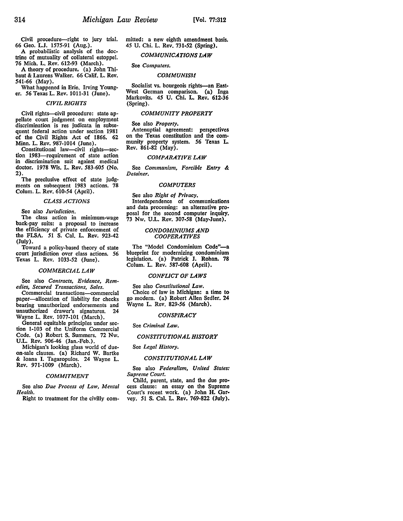Civil procedure--right to jury trial. 66 Geo. L.J. 1575-91 (Aug.).

A probabilistic analysis of the doctrine of mutuality of collateral estoppel. 76 Mich. L. Rev. 612-93 (March).

A theory of procedure, (a) John Thibaut & Laurens Walker. 66 Calif. L. Rev. 541-66 (May).

What happened in Erie. Irving Young-<br>er. 56 Texas L. Rev. 1011-31 (June).

### *CIVIL RIGHTS*

Civil rights-civil procedure: state appellate court judgment on employment discrimination is res judicata in subsequent federal action under section 1981 of the Civil Rights Act of 1866. 62 Minn. L. Rev. 987-1014 (June).

Constitutional law-civil rights-section 1983-requirement of state action in discrimination suit against medical doctor. 1978 Wis. L. Rev. *583-605* (No. 2).

The preclusive effect of state judgments on subsequent 1983 actions. 78 Colum. L. Rev. 610-54 (April).

### *CLASS ACTIONS*

See also *Jurisdiction.* 

The class action in minimum-wage back-pay suits: a proposal to increase the efficiency of private enforcement of the FLSA. 51 S. Cal. L. Rev. 923-42 (July).

Toward a policy-based theory of state court jurisdiction over class actions. 56 Texas L. Rev. 1033-52 (June).

### *COMMERCIAL LAW*

See also *Contracts, Evidence, Remedies, Secured Transactions, Sales.* 

Commercial transactions-commercial paper-allocation of liability for checks bearing unauthorized endorsements and unauthorized drawer's signatures. Wayne L. Rev. 1077-101 (March).<br>General equitable principles under sec-

tion 1-103 of the Uniform Commercial Code. (a) Robert S. Summers. 72 Nw. U.L. Rev. 906-46 (Jan.-Feb.).

Michigan's looking glass world of dueon-sale clauses. (a) Richard W. Bartke & Joana I. Tagaropulos. 24 Wayne L. Rev. 971-1009 (March).

### *COMMITMENT*

See also *Due Process of Law*, *Mental Health.* 

Right to treatment for the civilly com-

mitted: a new eighth amendment basis. *45* U. Chi. L. **Rev. 731-52 (Spring),** 

### *COMMUNICATIONS L-A W*

### See *Computers.*

### *COMMUNISM*

Socialist vs. bourgeois rights-an East-West German comparison. (a) Inga Markovits. *45* U. Chi. L. Rev. 612-36 (Spring).

### *COMMUNITY PROPERTY*

### See also *Property.*

Antenuptial agreement: perspectives<br>on the Texas constitution and the community property system. 56 Texas L. Rev. 861-82 (May).

### *COMPARATIVE LAW*

See *Communism, Forcible Entry* & *Detainer.* 

### *COMPUTERS*

See also *Right of Privacy.*  Interdependence of communications and data processing: an alternative proposal for the second computer inquiry. 73 Nw. U.L. Rev. 307-58 (May-June).

### *CONDOMINIUMS AND COOPERATIVES*

The "Model Condominium Code"-a blueprint for modernizing condominium legislation. (a) Patrick J. Rohan. 78 Colum. L. Rev. 587-608 (April).

### *CONFLICT OF LAWS*

See also *Constitutional* Law. Choice of law in Michigan: a time to go modern. (a) Robert Allen Sedler. 24 Wayne L. Rev. 829-56 (March).

### *CONSPIRACY*

See *Criminal* Law.

### *CONSTITUTIONAL HISTORY*

### See *Legal History.*

### *CONSTITUTIONAL LAW*

See also *Federalism, United States: Supreme Court.* 

cess clause: an essay on the Supreme Court's recent work. (a) John H. Gar• vey. 51 S. Cal. L. Rev. 769-822 (July).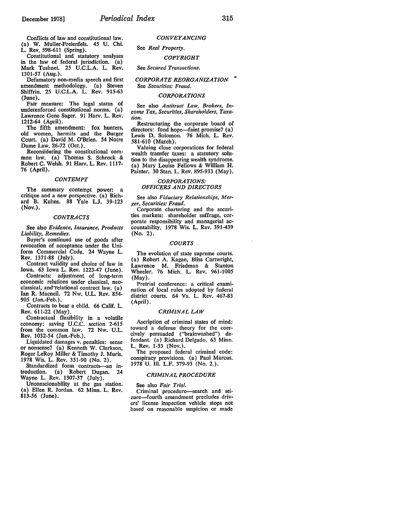Conflicts of law and constitutional law. (a) **W.** Muller-Freienfels. 45 U. Chi. **L.** Rev. 598-611 (Spring).

Constitutional and statutory analyses in the law of federal jurisdiction. (a) Mark Tushnet. 25 U.C.L.A. L. Rev. 1301-57 (Aug.).

Defamatory non-media speech and first amendment methodology. (a) Steven Shiffrin. 25 U.C.L.A. L. Rev. 915-63 (June).

Fair measure: The legal status of underenforced constitutional norms. (a) Lawrence Gene Sager. 91 Harv. L. Rev. 1212-64 (April).

The fifth amendment: fox hunters, old women, hermits and the Burger Court. (a) David M. O'Brien. 54 Notre Dame Law. 26-72 (Oct.).

Reconsidering the constitutional common law. (a) Thomas S. Schrock & Robert C. Welsh. 91 Harv. L. Rev. 1117- 76 (April).

### *CONTEMPT*

The summary contempt power: a critique and a new perspective. (a) Richard B. Kuhns. 88 Yale L.J. 39-123 (Nov.).

### *CONTRACTS*

See also *Evidence, Insurance, Products Liability, Remedies.* 

Buyer's continued use of goods after revocation of acceptance under the Uniform Commercial Code. 24 Wayne L. Rev. 1371-88 (July).

Contract validity and choice of Jaw in Iowa. 63 Iowa L. **Rev.** 1223-47 (June).

Contracts: adjustment of long-term<br>economic relations under classical, neoelassical, and relational contract law. (a) Ian R. Macneil. 72 Nw. U.L. Rev. 854- 905 (Jan.-Feb.).

Contracts to bear a child. 66 Calif. L. Rev. 611-22 (May).

Contractual flexibility in a volatile economy: saving U.C.C. section 2-615 from the common law. 72 Nw. U.L. Rev. 1032-54 (Jan.-Feb.).

Liquidated damages v. penalties: sense or nonsense? (a) Kenneth W. Clarkson, Roger LeRoy Miller & Timothy J. Muris. 1978 Wis. L. Rev. 351-90 (No. 2).

Standardized form contracts-an introduction. (a) Robert Dugan. 24 Wayne L. Rev. 1307-37 (July).

Unconscionability at the gas station. (a) Ellen R. Jordan. 62 Minn. L. Rev. 813-56 (June).

*CONVEYANCING* 

### See *Real Property.*

### *COPYRIGHT*

### See *Secured Transactions.*

### *CORPORATE REORGANIZATION*  .. See *Securities: Fraud.*

### *CORPORATIONS*

See also *Antitrust* Law, *Brokers, Income Tax, Securities, Shareholders, Taxation.* 

Restructuring the corporate board of directors: fond hope—faint promise? (a) Lewis D. Solomon. 76 Mich. L. Rev. 581-610 (March).

Valuing close corporations for federal wealth transfer taxes: a statutory solution to the disappearing wealth syndrome. (a) Mary Louise Fellows & William R Painter. 30 Stan. L. Rev. 895-933 (May).

### *CORPORATIONS: OFFICERS AND DIRECTORS*

See also *Fiduciary Relationships, Mer-*

Corporate chartering and the securities markets: shareholder suffrage, corporate responsibility and managerial ac-. countability. 1978 Wis. L. Rev. 391-439 (No. 2).

### *COURTS*

The evolution of state supreme courts. (a) Robert A. Kagan, Bliss Cartwright, Lawrence M. Friedman & Stanton Wheeler. 76 Mich. L. Rev. 961-1005 (May).

Pretrial conference: a critical examination of local rules adopted by federal district courts. 64 Va. L. Rev. 467-83 (April).

### *CRIMINAL LAW*

Ascription of criminal states of mind: toward a defense theory for the coercively persuaded ("brainwashed") defendant. (a) Richard Delgado. 63 Minn. L. Rev. 1-33 (Nov.).

The proposed federal criminal code: conspiracy provisions. (a) Paul Marcus. 1978 U. Ill. L.F. 379-93 (No. 2.).

### *CRIMINAL PROCEDURE*

#### See also *Fair Trial.*

Criminal procedure-search and seizure-fourth amendment precludes drivers' license inspection vehicle stops not based on reasonable suspicion or made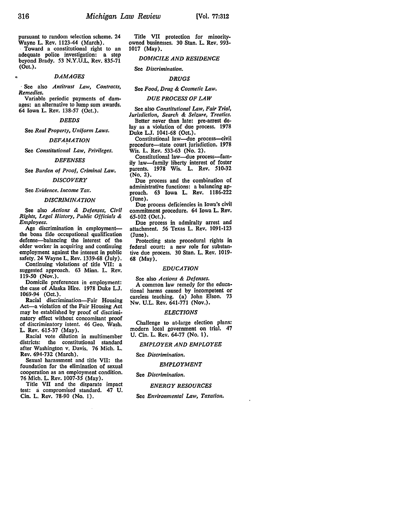pursuant to random selection scheme. 24

Wayne L. Rev. 1123-44 (March).<br>Toward a constitutional right to an adequate police investigation: a step beyond Brady. 53 N.Y.U.L. Rev. 835-71 (Oct.).

### *DAMAGES*

· See also *Antitrust Law, Contracts, Remedies.* 

Variable periodic payments of damages: an alternative to lump sum awards. 64 Iowa L. Rev. 138-57 (Oct.).

### *DEEDS*

See *Real Property, Uniform Laws.* 

### *DEFAMATION*

See *Constitutional Law, Privileges.* 

### *DEFENSES*

See *Burden of Proof, Criminal Law.* 

#### *DISCOVERY*

See *Evidence. Income Tar.* 

#### *DISCRIMINATION*

See also *Actions* & Defenses, Civil *Rights, Legal History, Public Officials* & *Employees.* 

Age discrimination in employmentthe bona fide occupational qualification defense-balancing the interest of the older worker in acquiring and continuing employment against the interest in public safety. 24 Wayne L. Rev. 1339-68 (July).<br>Continuing violations of title VII: a

suggested approach. 63 Minn. L. Rev. 119-50 (Nov.).

Domicile preferences in employment: the case of Alaska Hire. 1978 Duke L.J. 1069-94 (Oct.).

Racial discrimination-Fair Housing Act-a violation of the Fair Housing Act may be established by proof of discriminatory effect without concomitant proof of discriminatory intent. 46 Geo. Wash. L. Rev. 615-37 (May).

Racial vote dilution in multimember<br>districts: the constitutional standard the constitutional standard after Washington v. Davis. 76 Mich. L. **Rev.** 694-732 (March).

Sexual harassment and title VII: the foundation for the elimination of sexual cooperation as an employment condition. 76 Mich. L. Rev. 1007-35 (May).

Title VII and the disparate impact test: a compromised standard. 47 U. Cin. L. Rev. 78-90 (No. 1).

Title VII protection for minorityowned businesses. 30 Stan. L. Rev. 993- 1017 (May).

### *DOMICILE AND RESIDENCE*

#### See *Discrimination.*

#### *DRUGS*

See *Food, Drug* & *Cosmetic Law.* 

*DUE PROCESS OF LAW* 

See also *Constitutional Law, Fair Trial, Jurisdiction, Search* & *Seizure, Treaties.*  Better never than late: pre-arrest delay as a violation of due process. 1978 Duke L.J. 1041-68 (Oct.).

Constitutional law-due process-civil procedure-state court jurisdiction. 1978 Wis. L. Rev. 533-63 (No. 2).

Constitutional law-due process-fam• ily law-family liberty interest of foster parents. 1978 Wis. L. Rev. 510-32 (No. 2).

Due process and the combination of administrative functions: a balancing approach. 63 Iowa L. Rev. 1186-222 (June).

Due process deficiencies in Iowa's civil commitment procedure. 64 Iowa L. Rev. 65-102 (Oct.).

Due process in admiralty arrest and attachment. 56 Texas L. Rev. 1091-123 (June).

Protecting state procedural rights in federal court: a new role for substantive due process. 30 Stan. L. Rev. 1019- 68 (May).

### *EDUCATION*

### See also *Actions* & *Defenses.*

A common law remedy for the educa-<br>tional harms caused by incompetent or careless teaching. (a) John Elson. 73 Nw. U.L. Rev. 641-771 (Nov,).

#### *ELECTIONS*

Challenge to at-large election plans: modern local government on trial. 47 U. Cin. L. Rev. 64-77 (No. 1).

#### *EMPLOYER AND EMPLOYEE*

See *Discrimination.* 

### *EMPLOYMENT*

#### See *Discrimination.*

### *ENERGY RESOURCES*

See *Environmental Law*, Taxation.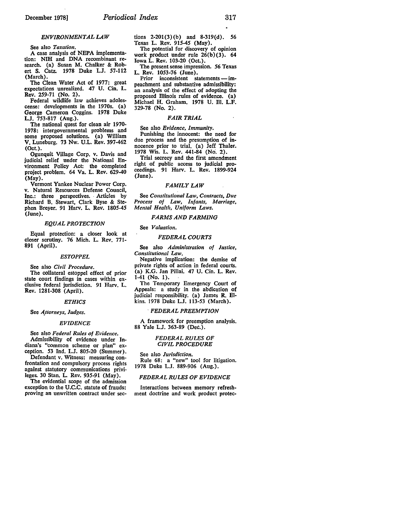### *ENVIRONMENTAL LAW*

See also *Taxation.* 

A case analysis of **NEPA** implementa-<br>tion: NIH and DNA recombinant research. (a) Susan M. Chalker & Robert S. Catz. 1978 Duke LJ. 57-112 (March).

The Clean Water Act of 1977: great expectations unrealized. 47 U. Cin. L. Rev. 259-71 (No. 2).

Federal wildlife law achieves adolescense: developments in the 1970s. (a) George Cameron Coggins. 1978 Duke **L.J.** 753-817 (Aug.).

The national quest for clean air 1970-<br>1978: intergovernmental problems and 1978: intergovernmental problems and some proposed solutions. (a) William V. Luneburg. 73 Nw. U.L. Rev. 397-462 (Oct.).

Ogunquit Village Corp. v. Davis and judicial relief under the National Environment Policy Act: the completed project problem. 64 Va. L. Rev. 629-40 (May).

Vermont Yankee Nuclear Power Corp. v. Natural Resources Defense Council, Inc.: three perspectives. Articles by Richard B. Stewart, Clark Byse & Stephen Breyer. 91 Harv. L. Rev. 1805-45 (June).

### *EQUAL PROTECTION*

Equal protection: a closer look at closer scrutiny. 76 Mich. L. Rev. 771- 891 (April).

#### *ESTOPPEL*

See also *Civil Procedure.*  The collateral estoppel effect of prior state court findings in cases within ex-

clusive federal jurisdiction. 91 Harv. L. Rev. 1281-308 (April).

### *ETHICS*

### See *Attorneys, Judges.*

### *EVIDENCE*

See also *Federal Rules of Evidence.*  Admissibility of evidence under Indiana's "common scheme or plan" ex-

ception. 53 Ind. L.J. 805-20 (Summer).<br>Defendant v. Witness: measuring confrontation and compulsory process rights

against statutory communications privileges. 30 Stan. L. Rev. 935-91 (May). The evidential scope of the admission

exception to the U.C.C. statute of frauds: proving an unwritten contract under sections 2-201(3)(b) and 8-319(d). *56*  Texas L. Rev. *915-45* (May).

The potential for discovery of opinion work product under rule 26(b)(3). 64 Iowa L. Rev. 103-20 (Oct.).

The present sense impression. *56* Texas L. Rev. 1053-76 (June).

Prior inconsistent statements — im-<br>peachment and substantive admissibility: an analysis of the effect of adopting the proposed Illinois rules of evidence. (a) Michael H. Graham. 1978 U. III. L.F. 329-78 (No. 2).

### *FAIR TRIAL*

### See also *Evidence, Immunity.*

Punishing the innocent: the need for due process and the presumption of innocence prior to trial. (a) Jeff Thaler. 1978 Wis. L. Rev. 441-84 (No. 2).

Trial secrecy and the first amendment right of public access to judicial proceedings. 91 Harv. L. Rev. 1899-924 (June).

### *FAMILY LAW*

See *Constitutional Law, Contracts, Due* Process of Law, Infants, Marriage, *Mental Health, Uniform Laws.* 

### *FARMS AND FARMING*

### See *Valuation.*

### *FEDERAL COURTS*

See also *Administration of Justice, Constitutional Law.* 

Negative implication: the demise of private rights of action in federal courts. (a) K.G. Jan Pillai. 47 U. Cin. L. **Rev.**  1-41 (No. 1).

The Temporary Emergency Court of Appeals: a study in the abdication of judicial responsibility. (a) James R. Elkins. 1978 Duke LJ. 113-53 (March).

### ' *FEDERAL PREEMPTION*

A framework for preemption analysis. 88 Yale LJ. 363-89 (Dec.).

### *FEDERAL RULES OF CIVIL PROCEDURE*

See also *Jurisdiction.* 

Rule 68: a "new" tool for litigation. 1978 Duke L.J. 889-906 (Aug.).

#### *FEDERAL RULES OF EVIDENCE*

Interactions between memory refreshment doctrine and work product protec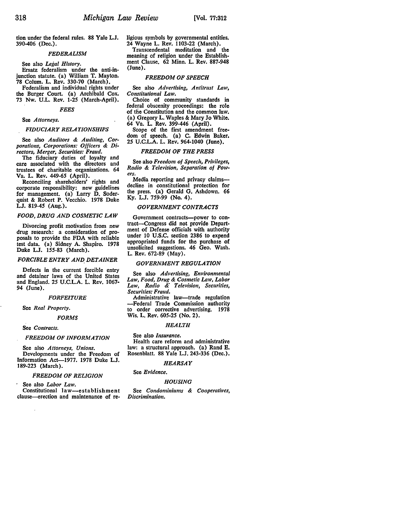tion under the federal rules. 88 Yale L.J. 390-406 (Dec.).

### *FEDERALISM*

See also *Legal History.* 

Ersatz federalism under the anti-injunction statute. (a) William T. Mayton. 78 Colum. L. Rev. 330-70 (March).

Federalism and individual rights under the Burger Court. (a) Archibald Cox. 73 Nw. U.L. Rev. 1-25 (March-April).

### *FEES*

### See *Attorneys.*

### *FIDUCIARY RELATIONSHIPS*

See also *Auditors* & *Auditing, Corporations, Corporations: Officers* & *Directors, Merger, Securities: Fraud.* 

The fiduciary duties of loyalty and care associated with the directors and trustees of charitable organizations. 64 Va. L. **Rev.** 449-65 (April).

Reconciling shareholders' rights and corporate responsibility: new guidelines for management. (a) Larry D. Soderquist & Robert P. Vecchio. 1978 Duke **L.J.** 819-45 (Aug.).

### *FOOD, DRUG AND COSMETIC LAW*

Divorcing profit motivation from new drug research: a consideration of proposals to provide the FDA with reliable test data. (a) Sidney A. Shapiro. 1978 Duke L.J. 155-83 (March).

### *FORCIBLE ENTRY AND, DETAINER*

Defects in the current forcible entry and detainer laws of the United States and England. 25 U.C.L.A. L. Rev. 1067- 94 (June).

#### *FORFEITURE*

See *Real Property.* 

#### *FORMS*

See *Contracts.* 

#### *FREEDOM OF INFORMATION*

See also *Attorneys, Unions.*  Developments under the Freedom of Information Act-1977. 1978 Duke **L.J.**  189-223 (March).

#### *FREEDOM OF RELIGION*

See also *Labor Law*. Constitutional law-establishment

clause--erection and maintenance of re-

ligious symbols by governmental entities. 24 Wayne L. Rev. 1103-22 (March). Transcendental meditation and the

meaning of religion under the Establishment Clause. 62 Minn. L. Rev. 887-948 (June).

### *FREEDOM OF SPEECH*

See also *Advertising, Antitrust Law, Constitutional Law.* 

Choice of community standards in federal obscenity proceedings: the role of the Constitution and the common law. (a) Gregory L. Waples & Mary **Jo White.**  64 Va. L. Rev. 399-446 (April).

Scope of the first amendment freedom of speech. (a) C. Edwin Baker. 25 U.C.L.A. L. Rev. 964-1040 (June).

### *FREEDOM OF THE PRESS*

See also *Freedom of Speech, Privileges, Radio* & *Television, Separation of Pow- ers.* 

Media reporting and privacy claims-decline in constitutional protection for the press. (a) Gerald G. Ashdown. 66 Ky. L.J. 759-99 (No. 4).

### *GOVERNMENT CONTRACTS*

Government contracts--power to con- tract-Congress did not provide Department of Defense officials with authority under 10 U.S.C. section 2386 to expend appropriated funds for the purchase of unsolicited suggestions. 46 Geo. Wash. L. Rev. 672-89 (May).

#### *GOVERNMENT REGULATION*

See also *Advertising, Environmental Law, Food, Drug* & *Cosmetic Law, Labor Law, Radio* &" *Television, Securities, Securities: Fraud.* 

Administrative law-trade regulation -Federal Trade Commission authority to order corrective advertising. 1978 Wis. L. Rev. 605-25 (No. 2).

### *HEALTH*

#### See also *Insurance.*

Health care reform and administrative law: a structural approach. (a) Rand E. Rosenblatt. 88 Yale L.J. 243-336 (Dec.).

### *HEARSAY*

### See *Evidence.*

#### *HOUSING*

See *Condominiums* & *Cooperatives, Discrimination.*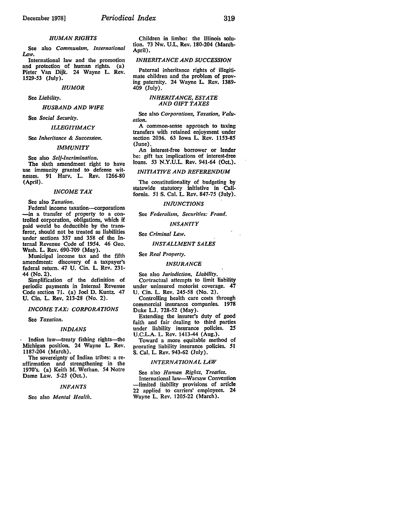See also *Communism, lntemational Law.* 

International law and the promotion and protection of human rights. (a) Pieter Van Dijk. 24 Wayne L. Rev. 1529-53 (July).

*HUMOR* 

See *Liability.* 

*HUSBAND AND WIFE* 

See *Social Security.* 

*ILLEGITIMACY* 

See *Inheritance* & *Succession.* 

#### *IMMUNITY*

See also *Self-Incrimination.*  use immunity granted to defense witnesses. 91 Harv. L. Rev. 1266-80 (April).

#### *INCOME TAX*

See also *Taxation.* 

Federal income taxation-corporations -in a transfer of property to a controlled corporation, obligations, which if paid would be deductible by the transferor, should not be treated as liabilities under sections 357 and 358 of the Internal Revenue Code of 1954. 46 Geo. Wash. L. Rev. 690-709 (May).

Municipal income tax and the fifth amendment: discovery of a taxpayer's federal return. 47 U. Cin. L. Rev. 231- 44 (No. 2).

Simplification of the definition of periodic payments in Internal Revenue Code section 71. (a) Joel D. Kuntz. 47 U. Cin. L. Rev. 213-28 (No. 2).

*INCOME TAX: CORPORATIONS* 

See *Taxation.* 

#### *INDIANS*

Indian law—treaty fishing rights—the Michigan position. 24 Wayne L. Rev. 1187-204 (March).

The sovereignty of Indian tribes: a reaffirmation and strengthening in the 1970's. (a) Keith M. Werhan. *54* Notre Dame Law. 5-25 (Oct.).

#### *INFANTS*

See also *Mental Health.* 

Children in limbo: the Illinois solution. 73 Nw. U.L. Rev. 180-204 (March-April).

#### *INHERITANCE AND SUCCESSION*

Paternal inheritance rights of illegitimate children and the problem of proving paternity. 24 Wayne L. Rev. 1389- 409 (July).

### *INHERITANCE, ESTATE AND GIFT TAXES*

See also *Corporations, Taxation, Valuation.* ·

A common-sense approach to taxing transfers with retained enjoyment under section 2036. 63 Iowa L. Rev. **1153-85**  (June).

An interest-free borrower or lender be: gift tax implications of interest-free loans. 53 N.Y.U.L. Rev. 941-64 (Oct.).

*INITIATIVE AND REFERENDUM* 

The constitutionality of budgeting by statewide statutory initiative in ·California. 51 S. Cal. L. Rev. 847-75 (July).

### *IN/UNCTIONS*

See *Federalism, Securities: Fraud.* 

*INSANITY* 

See *Criminal Law.* 

*INSTALLMENT SALES* 

See *Real Property.* 

#### *INSURANCE*

See also *Jurisdiction, Liability.*  Cortractual attempts to limit liability under uninsured motorist coverage. 47 U. Cin. L. Rev. 245-58 (No. 2).

Controlling health care costs through commercial insurance companies. 1978 Duke L.J. 728-52 (May).

Extending the insurer's duty of good faith and fair dealing to third parties under liability insurance policies. **25**  U.C.L.A. L. Rev. 1413-44 (Aug.).

Toward a more equitable method of prorating liability insurance policies. **51**  S. Cal. L. Rev. 943-62 (July).

### **INTERNATIONAL LAW**

See also *Human Rights, Treaties.*  International law-Warsaw Convention -limited liability provisions of article 22 applied to carriers' employees. 24 Wayne L. Rev. 1205-22 (March).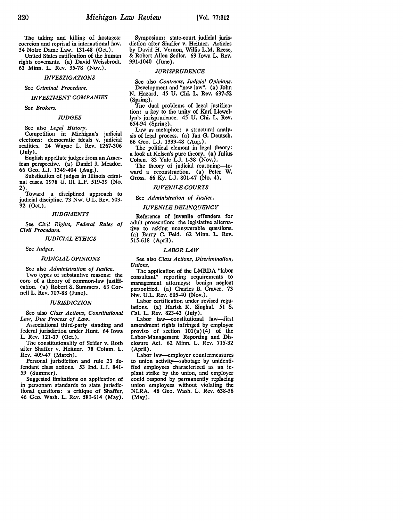The taking and killing of hostages: coercion and reprisal in international law. *54* Notre Dame Law. 131-48 (Oct.).

United States ratification of the human rights covenants. (a) David Weissbrodt. 63 Minn. L. Rev. 35-78 (Nov.).

#### *INVESTIGATIONS*

See *Criminal Procedure.* 

### *INVESTMENT COMPANIES*

*See Brokers.* 

### *JUDGES*

See also *Legal History.* 

Competition in Michigan's judicial elections: democratic ideals v. judicial realities. 24 Wayne L. Rev. 1267-306 (July).

English appellate judges from an American perspective. (a) Daniel **J.** Meador. 66 Geo. L.J. 1349-404 (Aug.).

Substitution of judges in Illinois criminal cases. 1978 U. Ill. L.F. 519-39 **(No.**  2).

Toward a disciplined approach to judicial discipline. 73 Nw. U.L. Rev. 503- 32 (Oct.).

#### *JUDGMENTS*

See *Civil Rights, Federal Rules of Civil Procedure.* 

### *JUDICIAL ETHICS*

See *Judges.* 

### *JUDICIAL OPINIONS*

See also *Administration of Justice.*  Two types of substantive reasons: the core of a theory of common-law justification. (a) Robert S. Summers. 63 Cor-

#### *JURISDICTION*

nell L. Rev. 707-88 (June).

See also *Class Actions, Constitutional Law, Due Process of Law.* 

Associational third-party standing and federal jurisdiction under Hunt. 64 Iowa L. Rev. 121-37 (Oct.).

The constitutionality of Seider v. Roth after Shaffer v. Heitner. 78 Colum. L. Rev. 409-47 (March).

Personal jurisdiction and rule 23 defendant class actions. 53 Ind. L.J. 841- 59 (Summer).

Suggested limitations on application of in personam standards to state jurisdictional questions: a critique of Shaffer. 46 Geo. Wash. L. Rev. 581-614 (May).

Symposium: state-court judicial jurisdiction after Shaffer v. Heitner. Articles by David H. Vernon, Willis L.M. Reese, & Robert Allen Sedler. 63 Iowa L. Rev. 991-1040 (June).

### *JURISPRUDENCE*

See also *Contracts, Judicial Opinions.*  Development and "new law". (a) John N. Hazard. *45* U. Chi. L. Rev. 637-52 (Spring).

The dual problems of legal justification: a key to the unity of Karl Llewellyn's jurisprudence. *45* U. Chi. L. Rev. *654-94* (Spring).

Law as metaphor: a structural analysis of legal process. (a) Jan G. Deutsch. 66 Geo. L.J. 1339-48 (Aug.).

The political element in legal theory: a look at Kelsen's pure theory. (a) Julius Cohen. 83 Yale LJ. 1-38 (Nov.).

The theory of judicial reasoning-toward a reconstruction. (a) Peter W. Gross. 66 Ky. L.J. 801-47 (No. 4).

### *JUVENILE COURTS*

See *Administration of Justice.* 

### *JUVENILE DELINQUENCY*

Reference of juvenile offenders for adult prosecution: the legislative alternative to asking unanswerable questions. (a) Barry C. Feld. 62 Minn. L. Rev. 515-618 (April).

### *LABOR LAW*

See also *Class Actions*, *Discrimination*, *Unions.* 

The application of the LMRDA "labor consultant" reporting requirements to management attorneys: benign neglect personified. (a) Charles B. Craver. 73 Nw. U.L. Rev. *605-40* (Nov.).

Labor certification under revised regulations. (a) Harish K. Singhal. 51 S. Cal. L. Rev. 823-43 (July).

Labor law-constitutional law-first amendment rights infringed by employer proviso of section  $101(a)(4)$  of the Labor-Management Reporting and Disclosure Act. 62 Minn. L. Rev. 715-32 (April).

Labor law--employer countermeasures to union activity-sabotage by unidentified employees characterized as an inplant strike by the union, and employer could respond by permanently replacing union employees without violating the NLRA. 46 Geo. Wash. L. Rev. 638-56 (May).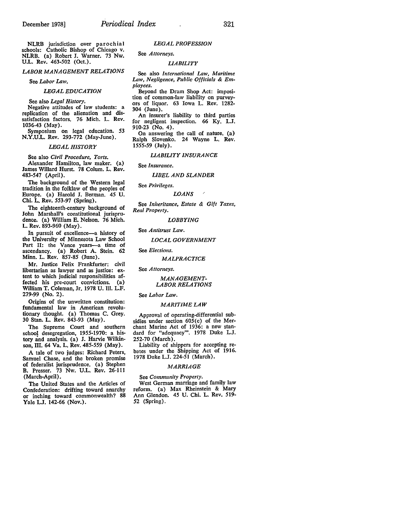NLRB jurisdiction over parochial schools: Catholic Bishop of Chicago v. **NLRB.** (a) Robert J. Warner. 73 Nw. U.L. Rev. 463-502 (Oct.).

### *LABOR MANAGEMENT RELATIONS*

See *Labor Law.* 

### *LEGAL EDUCATION*

See also *Legal History.* 

Negative attitudes of law students: a replication of the alienation and dissatisfaction factors. 76 Mich. L. Rev. 1036-43 (May).

Symposium on legal education. 53 **N.Y.U.L.** Rev. 293-772 (May-June).

#### *LEGAL HISTORY*

See also *Civil Procedure, Torts.*  Alexander Hamilton, law maker. (a) James Willard Hurst. 78 Colum. L. Rev. 483-547 (April).

The background of the Western legal tradition in the folklaw of the peoples of Europe. (a) Harold J. Berman. *45* U. Chi. L. Rev. 553-97 (Spring).

The eighteenth-century background of John Marshall's constitutional jurisprudence. (a) William E. Nelson. 76 Mich. L. Rev. 893-960 (May).

In pursuit of excellence-a history of the University of Minnesota Law School Part II: the Vance years-a time of ascendancy. (a) Robert A. Stein. 62 Minn. L. Rev. 857-85 (June).

Mr. Justice Felix Frankfurter: civil libertarian as lawyer and as justice: extent to which judicial responsibilities affected his pre-court convictions. (a) William T. Coleman, Jr. 1978 U. III. LF. 279-99 (No. 2).

Origins of the unwritten constitution: fundamental law in American revolutionary thought. (a) Thomas C. Grey. 30 Stan. L. Rev. 843-93 (May).

The Supreme Court and southern school desegregation, 1955-1970: a history and analysis. (a) J. Harvie Wilkinson, III. 64 Va. L. Rev. *485-559* (May).

A tale of two judges: Richard Peters, Samuel Chase, and the broken promise of federalist jurisprudence. (a) Stephen B. Presser. 73 Nw. U.L. Rev. 26-111 (March-April).

The United States and the Articles of Confederation: drifting toward anarchy or inching toward commonwealth? 88 Yale L.J. 142-66 (Nov.).

### *LEGAL PROFESSION*

See *Attorneys.* 

### *LIABILITY*

See also *International Law, Maritime Law, Negligence, Public Officials* & *Employees.* 

Beyond the Dram Shop Act: imposition of common-law liability on purveyors of liquor. 63 Iowa L. Rev. 1282- 304 (June).

An insurer's liability to third parties for negligent inspection. 66 Ky. L.J. 910-23 (No. 4).

On answering the call of nature. (a) Ralph Slovenko. 24 Wayne L. Rev. 1555-59 (July).

*LIABILITY INSURANCE* 

See *Insurance.* 

#### *LIBEL AND SLANDER*

See *Privileges.* 

*LOANS* 

See *Inheritance, Estate* & *Gift Taxes, Real Property.* 

*LOBBYING* 

See *Antitrust Law.* 

*LOCAL GOVERNMENT* 

See *Elections.* 

*MALPRACTICE* 

See *Attorneys.* 

### *MANAGEMENT-LABOR RELATIONS*

See *Labor Law.* 

### *MARITIME LAW*

Approval of operating-differential subsidies under section 605(c) of the Merchant Marine Act of 1936: a new standard for "adequacy"'. 1978 Duke L.J. 252-70 (March).

Liability of shippers for accepting rebates under the Shipping Act of 1916. 1978 Duke L.J. 224-51 (March).

#### *MARRIAGE*

### See *Community Property.*

West German marriage and family law reform. (a) Max Rheinstein & Mary Ann Glendon. 45 U. Chi. L. Rev. 519- 52 (Spring).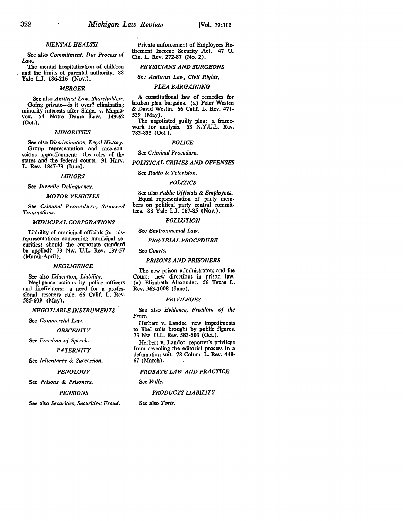### *MENTAL HEALTH*

See also *Commitment, Due Process of*  Law.

The mental hospitalization of children . and the limits of parental authority. 88 **Yale L.J.** 186-216 (Nov.).

#### *MERGER*

See also *Antitrust* Law, *Shareholders.*  Going private-is it over? eliminating<br>minority interests after Singer v. Magnavox. 54 Notre Dame Law. 149-62 (Oct.).

#### *MINORITIES*

See also *Discrimination, Legal History.*  Group representation and race-conscious apportionment: the roles of the states and the federal courts. 91 Harv. **L. Rev.** 1847-73 (June).

### *MINORS*

See *Juvenile Delinquency.* 

### *MOTOR VEHICLES*

See *Criminal Procedure, Secured Transactions.* ·

*MUNICIPAL CORPORATIONS* 

Liability of municipal officials for misrepresentations concerning municipal securities: should the corporate standard **be** applied? 73 Nw. U.L Rev. 137-57 (March-April).

### *NEGLIGENCE*

See also *Education, Liability.*  Negligence actions by police officers and firefighters: a need for a professional rescuers rule. 66 Calif. L. Rev. 585-609 (May).

*NEGOTIABLE INSTRUMENTS* 

See *Commercial* Law.

*OBSCENITY* 

See *Freedom of Speech.* 

*PATERNITY* 

See *Inheritance & Succession.* 

*PENOLOGY* 

See *Prisons* & *Prisoners.* 

*PENSIONS* 

See also *Securities, Securities: Fraud.* 

Private enforcement of Employees **Re**tirement Income Security Act. 47 U. Cin. L. Rev. 272-87 (No. 2).

### *PHYSICIANS AND SURGEONS*

See *Antitrust* Law, *Civil Rights.* 

### *PLEA BARGAINING*

A constitutional law of remedies for broken plea bargains. (a) Peter Westen & David Westin. 66 Calif. L. Rev. 471- 539 (May).

The negotiated guilty plea: a framework for analysis. 53 N.Y.U.L. Rev. 783-833 (Oct.).

#### *POLICE*

See *Criminal Procedure.* 

*POLITICAL CRIMES AND OFFENSES* 

### See *Radio* & *Television.*

### *POLITICS*

See also *Public Officials* & *Employees.*  Equal representation of party members on political party central committees. 88 Yale LJ. 167-85 (Nov.).

### *POLLUTION*

See *Environmental* Law.

### *PRE-TRIAL PROCEDURE*

See *Courts.* 

#### *PRISONS AND PRISONERS*

The new prison administrators and the Court: new directions in prison law. (a) Elizabeth Alexander. 56 Texas **L.**  Rev. 963-1008 (June).

### *PRIVILEGES*

See also *Evidence, Freedom of the Press.* 

Herbert v. Lando: new impediments to libel suits brought by public figures. 73 Nw. U.L. Rev. 583-603 (Oct.).

Herbert v. Lando: reporter's privilege from revealing the editorial process in a defamation suit. 78 Colum. L. Rev. 448-67 (March).

*PROBATE LAW AND PRACTICE* 

#### See *Wills.*

#### *PRODUCTS LIABILITY*

See also *Torts.*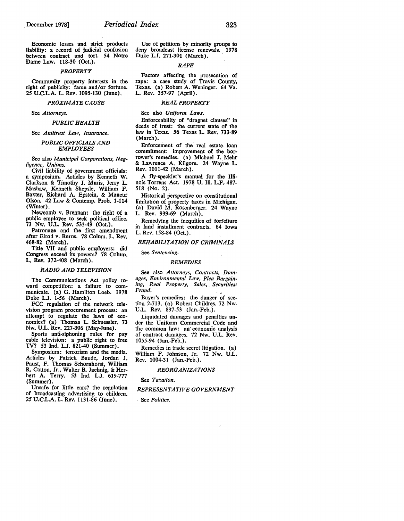Economic losses and strict products liability: a record of judicial confusion between contract and tort. *54* Notre Dame Law. 118-30 (Oct.).

#### *PROPERTY*

Community property interests in the right of publicity: fame and/or fortune. *2S* U.C.L.A. L. Rev. 1095-130 (June).

#### *PROXIMATE CAUSE*

See *Attorneys.* 

#### *PUBLIC HEALTH*

### See Antitrust Law, Insurance.

### *PUBLIC OFFICIALS AND EMPLOYEES* .

See also *Municipal Corporations, Negligence, Unions.*<br> **Civil liability of government officials:** 

a symposium. Articles by Kenneth W. Clarkson & Timothy **J.** Muris, Jerry L. Mashaw, Kenneth Shepsle, William F. Baxter, Richard A. Epstein, & Mancur Olson. 42 Law & Contemp. Prob. 1-114 (Winter).

Newcomb v. Brennan: the right of a public employee to seek political office. 73 Nw. U.L. Rev. S33-49 (Oct.).

Patronage and the first amendment after Elrod v. Burns. 78 Colum. L. **Rev.**  468-82 (March).

Title VII and public employers: did Congress exceed its powers? 78 Colum. L. Rev. 372-408 (March).

### *RADIO AND TELEVISION*

The Communications Act policy toward competition: a failure to communicate. (a) G. Hamilton Loeb. 1978 Duke **L.J.** 1-56 (March).

FCC regulation of the network television program procurement process: an attempt to regulate the laws of economics? (a) Thomas L. Schuessler. 73 Nw. U.L. Rev. 227-306 (May-June).

Sports anti-siphoning rules for pay cable television: a public right to free TV? 53 Ind. L.J. 821-40 (Summer).

Symposium: terrorism and the media. Articles by Patrick Baude, Jordan J. Paust, F. Thomas Schornhorst, William R. Catton, Jr., Walter B. Jaehnig, & Herbert A. Terry. 53 Ind. L.J. 619-777 (Summer).

Unsafe for little ears? the regulation of broadcasting advertising to children. 2S U.C.L.A. L. Rev. 1131-86 (June).

Use of petitions by minority groups to deny broadcast license renewals. **1978**  Duke L.J. 271-301 (March).

#### *RAPE*

Factors affecting the prosecution of rape: a case study of Travis County, Texas. (a) Robert A. Weninger. 64 Va. L. Rev. 3S7-97 (April).

### *REAL PROPERTY*

See also *Uniform Laws.* 

Enforceability of "dragnet clauses" in deeds of trust: the current state of the law in Texas. 56 Texas L. Rev. 733-89 (March).

Enforcement of the real estate loan commitment: improvement of the borrower's remedies. (a) Michael J. Mehr<br>& Lawrence A. Kilgore. 24 Wayne L. Rev. 1011-42 (March).

A fly-speckler's manual for the Illinois Torrens Act. 1978 U. Ill. L.F.. 487- 518 (No. 2).

Historical perspective on constitutional limitation of property taxes in Michigan. (a) David M. Rosenberger. 24 Wayne L. Rev. 939-69 (March).

Remedying the inequities of forfeiture in land installment contracts. 64 Iowa L. Rev. 1S8-84 (Oct.).

### *REHABILITATION OF CRIMINALS*

#### See *Sentencing.*

### *REMEDIES*

See also Attorneys, Contracts, Dam*ages, Environmental Law, Plea Bargaining, Real Property, Sales,* . *Securities: Fraud.* •

Buyer's remedies: the danger of ·section 2-713. (a) Robert Childres. 72 Nw. U.L. Rev. 837-53 (Jan.-Feb.).

Liquidated damages and penalties under the Uniform Commercial Code and the common law: an' economic analysis of contract damages. 72 Nw. U.L. **Rev.**  1055-94 (Jan.-Feb.).

Remedies in trade secret litigation. (a) William F. Johnson, Jr. 72 Nw. U.L. Rev. 1004-31 (Jan.-Feb.).

### *REORGANIZA T/ONS*

#### See *Taxation.*

### *REPRESENTATIVE GOVERNMENT*

- See *Politics.*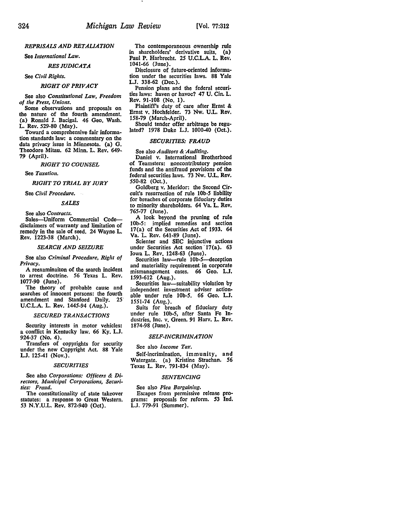### *REPRISALS AND RETALIATION*

See *International* Law.

### *RES JUDICATA*

### See *Civil Rights.*

### *RIGHT OF PRIVACY*

See also *Constitutional* Law, *Freedom* 

*of the Press, Unions.*  the nature of the fourth amendment. (a) Ronald **J.** Bacigal. 46 Geo. Wash. L. **Rev.** 529-80 (May).

Toward a comprehensive fair information standards law: a commentary on the data privacy issue in Minnesota. (a) **G.**  Theodore Mitau. 62 Minn. L. Rev. 649~ 79 (April).

**RIGHT** *TO COUNSEL* 

See *Taxation.* 

*RIGHT TO TRIAL BY JURY* 

See *Civil Procedure.* 

### *SALES*

See also *Contracts.* 

Sales-Uniform Commercial Codedisclaimers of warranty and limitation of remedy in the sale of seed. 24 Wayne L. Rev. 1223-38 (March).

### *SEARCH AND SEIZURE*

See also *Criminal Procedure, Right of Privacy.* 

A reexaminaiton of the search incident to arrest doctrine. 56 Texas L. Rev. 1077-90 (June).

The theory of probable cause and searches of innocent persons: the fourth amendment and Stanford Daily. 25 U.C.L.A. L. **Rev.** 1445-94 (Aug.).

#### *SECURED TRANSACTIONS*

Security interests in motor vehicles: a conflict in Kentucky law. 66 **Ky. L.J.**  924-37 (No. 4).

Transfers of copyrights for security under the new Copyright Act. 88 Yale L.J. 125-41 (Nov.).

### *SECURITIES*

See also *Corporations: Officers & Directors, Municipal Corporations, Securities: Fraud.* 

The constitutionality of state takeover statutes: a response to Great Western. *53* N.Y.U.L. Rev. 872-940 (Oct).

The contemporaneous ownership rule in shareholders' derivative suits. (a) Paul P. Harbrecht. *25* U.C.L.A. L. Rev. 1041-66 (June).

Disclosure of future-oriented information under the securities laws. 88 Yale L.J. 338-62 (Dec.).

Pension plans and the federal securities laws: haven or havoc? 47 U. Cin. L. Rev. 91-108 (No. 1).

Plaintiff's duty of care after Ernst & Ernst v. Hochfelder. 73 Nw. U.L. Rev. 158-79 (March-April).

Should tender offer arbitrage be regulated? 1978 Duke L.J. 1000-40 (Oct.).

### *SECURITIES: FRAUD*

See also *Auditors* & *·Auditing.* 

Daniel v. International Brotherhood of Teamsters: noncontributory pension funds and the antifraud provisions of the federal securities laws. 73 Nw. U.L. **Rev.**  550-82 (Oct.).

Goldberg v. Meridor: the Second Circuit's resurrection of rule lOb-5 liability for breaches of corporate fiduciary duties to minority shareholders. 64 Va. L. Rev, 765-77 (June).

A look beyond the pruning of rule l0b-5: implied remedies and section 17(a) of the Securities Act of 1933. 64 Va. L. Rev. 641-89 (June).

Scienter and SEC injunctive actions under Securities Act section 17(a). 63 Iowa L. Rev. 1248-63 (June),

Securities law-rule 10b-5-deception and materiality requirement in corporate mismanagement cases. 66 Geo. L.J. 1593-612 (Aug.).

Securities law-suitability violation by independent investment adviser actionable under rule lOb-5. 66 Geo. L.J. 1551-74 (Aug.).

Suits for breach of fiduciary duty under rule lOb-5, after Santa Fe Industries, Inc. v. Green. 91 Harv. **L. Rev,**  1874-98 (June).

### *SELF-INCRIMINATION*

See also *Income Tar.* 

Self-incrimination, immunity, and Watergate. (a) Kristine Strachan. 56 Texas L. Rev. 791-834 (May).

### *SENTENCING*

See also *Plea Bargaining.*  Escapes from permissive release programs: proposals for reform. *53* Ind, L.J. 779-91 (Summer).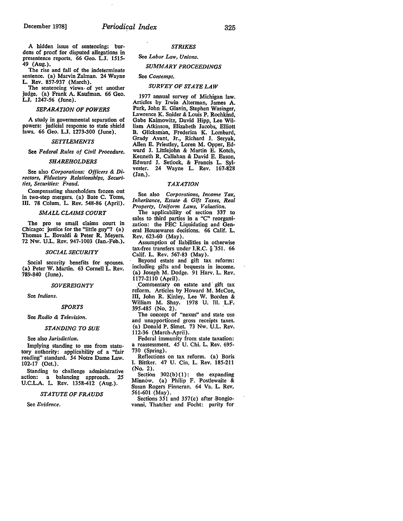A hidden issue of sentencing: burdens of proof for disputed allegations in presentence reports. 66 Geo. L.J. 1515- 49 (Aug.).

The rise and fall of the indeterminate sentence. (a) Marvin Zalman. 24 Wayne **L. Rev.** 857-937 (March).

The sentencing views• of yet another judge. (a) Frank A. Kaufman. 66 Geo. LJ. 1247-S6 (June).

### *SEPARATION OF POWERS*

A study in governmental separation of powers: judicial response to state shield laws. 66 Geo. LJ. 1273-300 (June).

### *SETTLEMENTS*

See *Federal Rules of Civil Procedure.* 

### *SHAREHOLDERS*

See also *Corporations: Officers & Directors, Fiduciary Relationships, Securities, Securities: Fraud.* 

Compensating shareholders frozen out in two-step mergers. (a) Bate C. Toms, Ill. 78 Colum. L. Rev. 548-86 (April).

### *SMALL CLAIMS COURT*

The pro se small claims court in Chicago: justice for the "little guy"? (a) Thomas L. Eovaldi & Peter R. Meyers. 72 Nw. U.L. Rev. 947-1003 (Jan.-Feb.).

#### *SOCIAL SECURITY*

Social security benefits for spouses. (a) Peter W. Martin. 63 Cornell L. Rev. 789-840 (June).

### *SOVEREIGNTY*

See *Indians.* 

#### *SPORTS*

### See *Radio* & *Television.*

#### *STANDING TO SUE*

See also *Jurisdiction.* 

Implying standing to sue from statutory authority: applicability of a "fair reading" standard. *54* Notre Dame Law. 102-17 (Oct.).

Standing to challenge administrative action: a balancing approach. 25 U.C.L.A. L. Rev. 1358-412 (Aug.).

*STATUTE OF FRAUDS* 

See *Evidence.* 

### *STRIKES*

### See *Labor Law, Unions.*

### *SUMMARY PROCEEDINGS*

### See *Contempt.*

### *SURVEY OF STATE LAW*

1977 annual survey of Michigan law. Articles by Irwin Alterman, James A. Park, John E. Glavin, Stephen Wasinger, Lawrence K. Snider & Louis P. Rochkind, Gabe Kaimowitz, David Hipp, Lee **Wil**liam Atkinson, Elizabeth Jacobs, Elliott B. Glicksman, Frederica K. Lombard, Grady Avant, Jr., Richard **J.** Seryak, Allen E. Priestley, Loren M. Opper, Edward **J.** Littlejohn & Martin E. Kotch, Kenneth R. Callahan & David E. Eason, Edward J. Setlock, & Francis L. Sylvester. 24 Wayne L. Rev. 167-828 (Jan.).

### *TAXATION*

See also *Corporations, Income Tar, Inheritance, Estate* & *Gift Taxes, Real Property, Uniform Laws, Valuation.* 

The applicability of section 337 to sales to third parties in a "C" reorganization: the FEC Liquidating and **Gen**eral Housewares decisions. 66 Calif. **L.**  Rev. 623-60 (May).

Assumption of liabilities in otherwise tax-free transfers under I.R.C.  $\S$  351. 66 Calif. L. Rev. 567-83 (May).

Beyond estate and gift tax reform: including gifts and bequests in income. (a) Joseph M. Dodge. 91 Harv. L. Rev. 1177-2110 (April).

,Commentary on estate and' gift tax reform. Articles by Howard M. McCue, III, John R. Kinley, Lee W. Borden & William M. Shay. 1978 U. JII. L.F. 395-485 (No. 2). .

The concept of "nexus" and state use and unapportioned gross receipts taxes. (a) Donald P. Simet. 73 Nw. U.L. Rev. 112-36 (March-April).

Federal immunity from state taxation: a reassessment. *45* U. Chi. L. Rev. 695- 730 (Spring).

Reflections on tax reform. (a) Boris I. Bittker. 47 U. Cin. L. Rev. 185-211 (No. 2).

Section  $302(b)(1)$ : the expanding Minnow. (a) Philip F. Postlewaite & Susan Rogers Finneran. 64 Va. L. **Rev,**  561-601 (May).

Sections  $351$  and  $357(c)$  after Bongiovanni, Thatcher and Focht: parity for